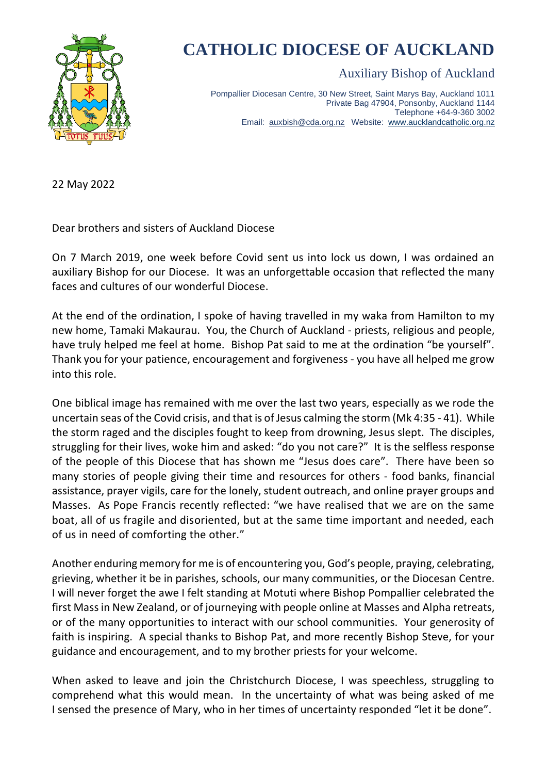

## **CATHOLIC DIOCESE OF AUCKLAND**

Auxiliary Bishop of Auckland

Pompallier Diocesan Centre, 30 New Street, Saint Marys Bay, Auckland 1011 Private Bag 47904, Ponsonby, Auckland 1144 Telephone +64-9-360 3002 Email: [auxbish@cda.org.nz](mailto:auxbish@cda.org.nz) Website: [www.aucklandcatholic.org.nz](http://www.aucklandcatholic.org.nz/)

22 May 2022

Dear brothers and sisters of Auckland Diocese

On 7 March 2019, one week before Covid sent us into lock us down, I was ordained an auxiliary Bishop for our Diocese. It was an unforgettable occasion that reflected the many faces and cultures of our wonderful Diocese.

At the end of the ordination, I spoke of having travelled in my waka from Hamilton to my new home, Tamaki Makaurau. You, the Church of Auckland - priests, religious and people, have truly helped me feel at home. Bishop Pat said to me at the ordination "be yourself". Thank you for your patience, encouragement and forgiveness - you have all helped me grow into this role.

One biblical image has remained with me over the last two years, especially as we rode the uncertain seas of the Covid crisis, and that is of Jesus calming the storm (Mk 4:35 - 41). While the storm raged and the disciples fought to keep from drowning, Jesus slept. The disciples, struggling for their lives, woke him and asked: "do you not care?" It is the selfless response of the people of this Diocese that has shown me "Jesus does care". There have been so many stories of people giving their time and resources for others - food banks, financial assistance, prayer vigils, care for the lonely, student outreach, and online prayer groups and Masses. As Pope Francis recently reflected: "we have realised that we are on the same boat, all of us fragile and disoriented, but at the same time important and needed, each of us in need of comforting the other."

Another enduring memory for me is of encountering you, God's people, praying, celebrating, grieving, whether it be in parishes, schools, our many communities, or the Diocesan Centre. I will never forget the awe I felt standing at Motuti where Bishop Pompallier celebrated the first Mass in New Zealand, or of journeying with people online at Masses and Alpha retreats, or of the many opportunities to interact with our school communities. Your generosity of faith is inspiring. A special thanks to Bishop Pat, and more recently Bishop Steve, for your guidance and encouragement, and to my brother priests for your welcome.

When asked to leave and join the Christchurch Diocese, I was speechless, struggling to comprehend what this would mean. In the uncertainty of what was being asked of me I sensed the presence of Mary, who in her times of uncertainty responded "let it be done".